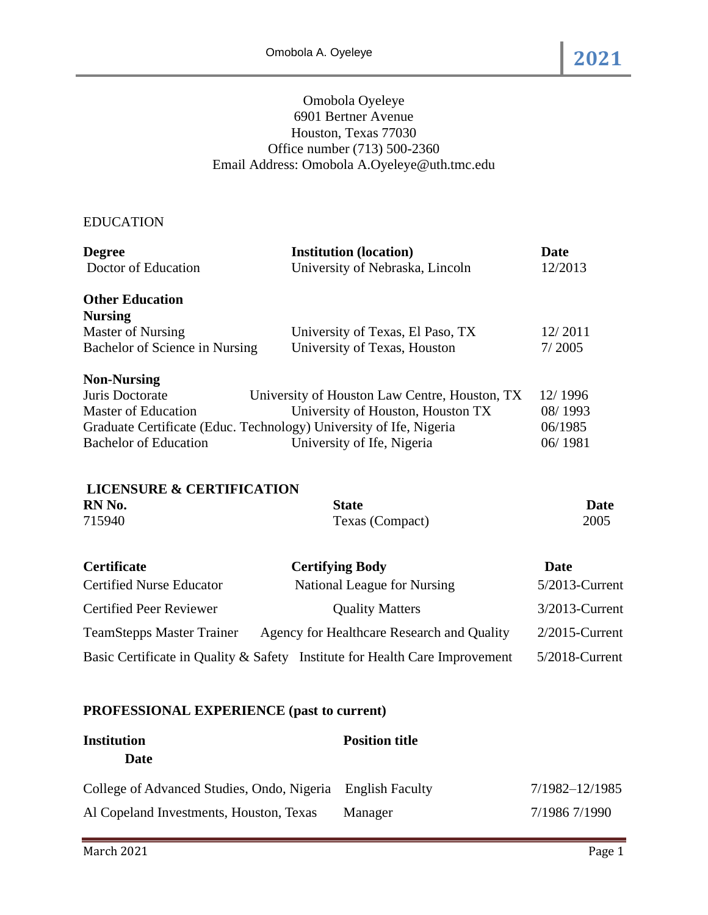## Omobola Oyeleye 6901 Bertner Avenue Houston, Texas 77030 Office number (713) 500-2360 Email Address: Omobola A.Oyeleye@uth.tmc.edu

## EDUCATION

| <b>Degree</b>                        | <b>Institution (location)</b>                                               | <b>Date</b>    |
|--------------------------------------|-----------------------------------------------------------------------------|----------------|
| Doctor of Education                  | University of Nebraska, Lincoln                                             | 12/2013        |
| <b>Other Education</b>               |                                                                             |                |
| <b>Nursing</b>                       |                                                                             |                |
| <b>Master of Nursing</b>             | University of Texas, El Paso, TX                                            | 12/2011        |
| Bachelor of Science in Nursing       | University of Texas, Houston                                                | 7/2005         |
| <b>Non-Nursing</b>                   |                                                                             |                |
| Juris Doctorate                      | University of Houston Law Centre, Houston, TX                               | 12/1996        |
| <b>Master of Education</b>           | University of Houston, Houston TX                                           | 08/1993        |
|                                      | Graduate Certificate (Educ. Technology) University of Ife, Nigeria          | 06/1985        |
| <b>Bachelor of Education</b>         | University of Ife, Nigeria                                                  | 06/1981        |
| <b>LICENSURE &amp; CERTIFICATION</b> |                                                                             |                |
| RN No.                               | <b>State</b>                                                                | <b>Date</b>    |
| 715940                               | Texas (Compact)                                                             | 2005           |
| <b>Certificate</b>                   | <b>Certifying Body</b>                                                      | <b>Date</b>    |
| <b>Certified Nurse Educator</b>      | National League for Nursing                                                 | 5/2013-Current |
| <b>Certified Peer Reviewer</b>       | <b>Quality Matters</b>                                                      | 3/2013-Current |
| <b>TeamStepps Master Trainer</b>     | Agency for Healthcare Research and Quality                                  | 2/2015-Current |
|                                      | Basic Certificate in Quality & Safety Institute for Health Care Improvement | 5/2018-Current |

# **PROFESSIONAL EXPERIENCE (past to current)**

| <b>Institution</b>                                         | <b>Position title</b> |                |
|------------------------------------------------------------|-----------------------|----------------|
| <b>Date</b>                                                |                       |                |
| College of Advanced Studies, Ondo, Nigeria English Faculty |                       | 7/1982-12/1985 |
| Al Copeland Investments, Houston, Texas                    | Manager               | 7/1986 7/1990  |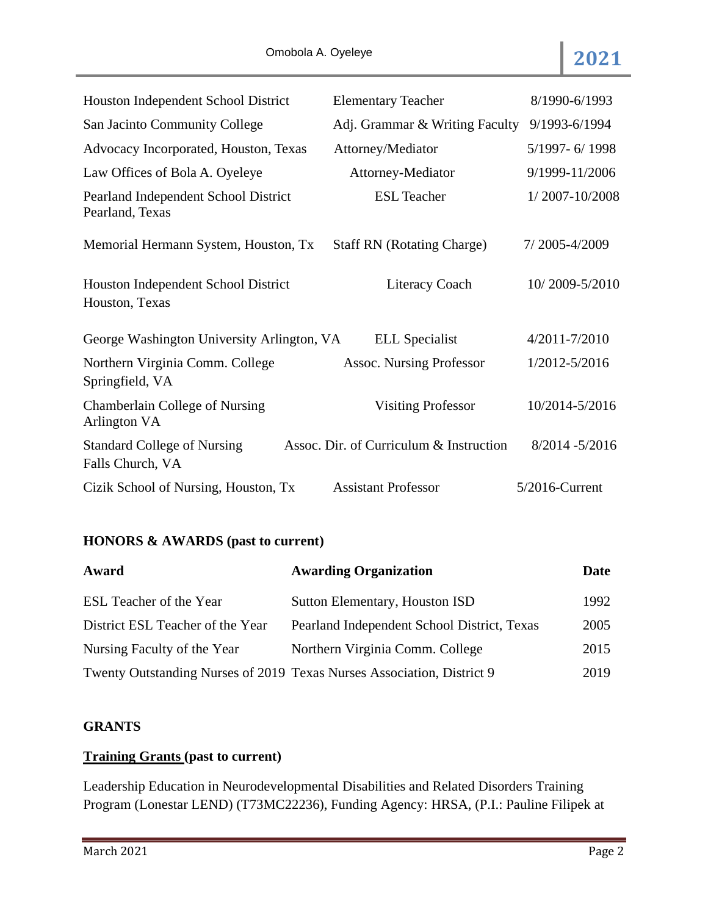| Houston Independent School District                     | <b>Elementary Teacher</b>               | 8/1990-6/1993     |
|---------------------------------------------------------|-----------------------------------------|-------------------|
| San Jacinto Community College                           | Adj. Grammar & Writing Faculty          | 9/1993-6/1994     |
| Advocacy Incorporated, Houston, Texas                   | Attorney/Mediator                       | 5/1997-6/1998     |
| Law Offices of Bola A. Oyeleye                          | Attorney-Mediator                       | 9/1999-11/2006    |
| Pearland Independent School District<br>Pearland, Texas | <b>ESL</b> Teacher                      | 1/2007-10/2008    |
| Memorial Hermann System, Houston, Tx                    | <b>Staff RN</b> (Rotating Charge)       | 7/2005-4/2009     |
| Houston Independent School District<br>Houston, Texas   | <b>Literacy Coach</b>                   | 10/2009-5/2010    |
| George Washington University Arlington, VA              | <b>ELL</b> Specialist                   | 4/2011-7/2010     |
| Northern Virginia Comm. College<br>Springfield, VA      | <b>Assoc. Nursing Professor</b>         | 1/2012-5/2016     |
| Chamberlain College of Nursing<br>Arlington VA          | <b>Visiting Professor</b>               | 10/2014-5/2016    |
| <b>Standard College of Nursing</b><br>Falls Church, VA  | Assoc. Dir. of Curriculum & Instruction | $8/2014 - 5/2016$ |
| Cizik School of Nursing, Houston, Tx                    | <b>Assistant Professor</b>              | 5/2016-Current    |

# **HONORS & AWARDS (past to current)**

| Award                            | <b>Awarding Organization</b>                                           | <b>Date</b> |
|----------------------------------|------------------------------------------------------------------------|-------------|
| ESL Teacher of the Year          | Sutton Elementary, Houston ISD                                         | 1992        |
| District ESL Teacher of the Year | Pearland Independent School District, Texas                            | 2005        |
| Nursing Faculty of the Year      | Northern Virginia Comm. College                                        | 2015        |
|                                  | Twenty Outstanding Nurses of 2019 Texas Nurses Association, District 9 | 2019        |

## **GRANTS**

# **Training Grants (past to current)**

Leadership Education in Neurodevelopmental Disabilities and Related Disorders Training Program (Lonestar LEND) (T73MC22236), Funding Agency: HRSA, (P.I.: Pauline Filipek at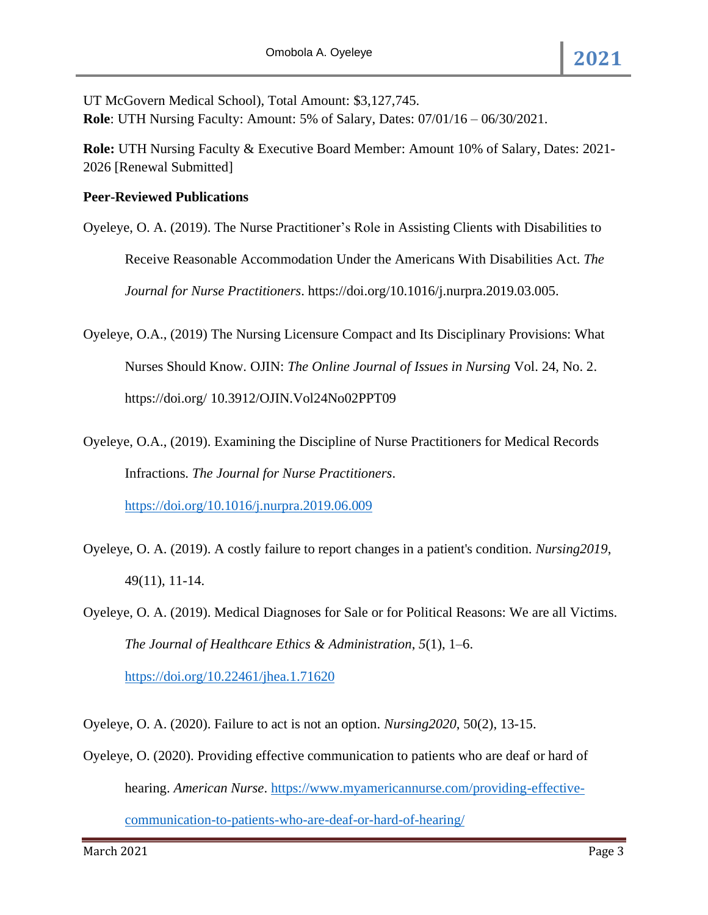UT McGovern Medical School), Total Amount: \$3,127,745. **Role**: UTH Nursing Faculty: Amount: 5% of Salary, Dates: 07/01/16 – 06/30/2021.

**Role:** UTH Nursing Faculty & Executive Board Member: Amount 10% of Salary, Dates: 2021- 2026 [Renewal Submitted]

## **Peer-Reviewed Publications**

- Oyeleye, O. A. (2019). The Nurse Practitioner's Role in Assisting Clients with Disabilities to Receive Reasonable Accommodation Under the Americans With Disabilities Act. *The Journal for Nurse Practitioners*. https://doi.org/10.1016/j.nurpra.2019.03.005.
- Oyeleye, O.A., (2019) The Nursing Licensure Compact and Its Disciplinary Provisions: What Nurses Should Know. OJIN: *The Online Journal of Issues in Nursing* Vol. 24, No. 2. https://doi.org/ 10.3912/OJIN.Vol24No02PPT09
- Oyeleye, O.A., (2019). Examining the Discipline of Nurse Practitioners for Medical Records Infractions. *The Journal for Nurse Practitioners*.

<https://doi.org/10.1016/j.nurpra.2019.06.009>

- Oyeleye, O. A. (2019). A costly failure to report changes in a patient's condition. *Nursing2019*, 49(11), 11-14.
- Oyeleye, O. A. (2019). Medical Diagnoses for Sale or for Political Reasons: We are all Victims. *The Journal of Healthcare Ethics & Administration*, *5*(1), 1–6.

<https://doi.org/10.22461/jhea.1.71620>

Oyeleye, O. A. (2020). Failure to act is not an option. *Nursing2020*, 50(2), 13-15.

Oyeleye, O. (2020). Providing effective communication to patients who are deaf or hard of hearing. *American Nurse*. [https://www.myamericannurse.com/providing-effective](https://www.myamericannurse.com/providing-effective-communication-to-patients-who-are-deaf-or-hard-of-hearing/)[communication-to-patients-who-are-deaf-or-hard-of-hearing/](https://www.myamericannurse.com/providing-effective-communication-to-patients-who-are-deaf-or-hard-of-hearing/)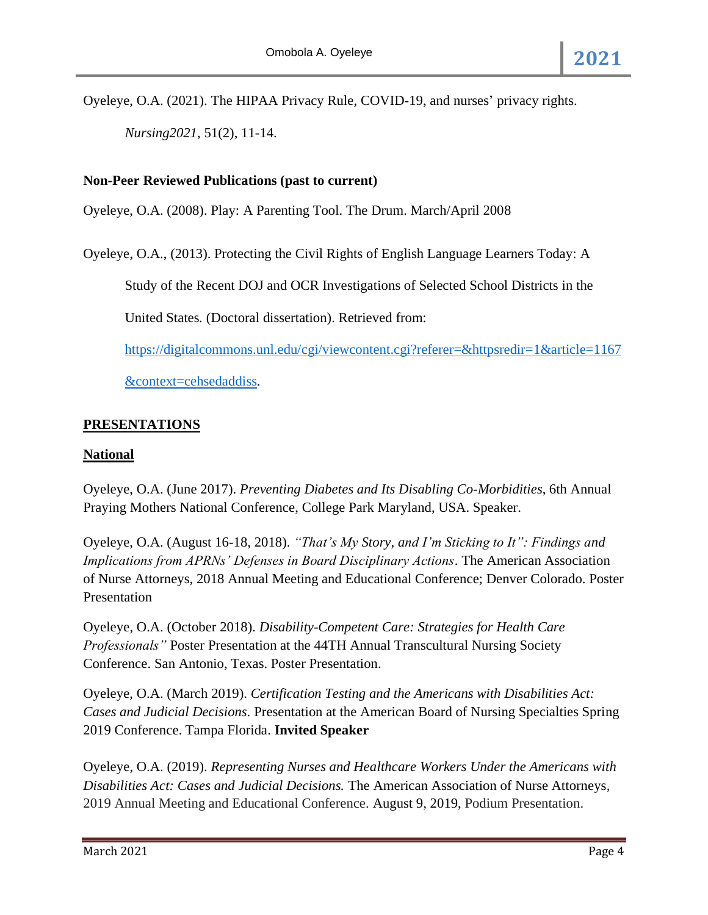Oyeleye, O.A. (2021). The HIPAA Privacy Rule, COVID-19, and nurses' privacy rights. *Nursing2021*, 51(2), 11-14.

### **Non-Peer Reviewed Publications (past to current)**

Oyeleye, O.A. (2008). Play: A Parenting Tool. The Drum. March/April 2008

Oyeleye, O.A., (2013). Protecting the Civil Rights of English Language Learners Today: A

Study of the Recent DOJ and OCR Investigations of Selected School Districts in the

United States*.* (Doctoral dissertation). Retrieved from:

[https://digitalcommons.unl.edu/cgi/viewcontent.cgi?referer=&httpsredir=1&article=1167](https://digitalcommons.unl.edu/cgi/viewcontent.cgi?referer=&httpsredir=1&article=1167&context=cehsedaddiss)

[&context=cehsedaddiss.](https://digitalcommons.unl.edu/cgi/viewcontent.cgi?referer=&httpsredir=1&article=1167&context=cehsedaddiss)

#### **PRESENTATIONS**

#### **National**

Oyeleye, O.A. (June 2017). *Preventing Diabetes and Its Disabling Co-Morbidities*, 6th Annual Praying Mothers National Conference, College Park Maryland, USA. Speaker.

Oyeleye, O.A. (August 16-18, 2018). *"That's My Story, and I'm Sticking to It": Findings and Implications from APRNs' Defenses in Board Disciplinary Actions*. The American Association of Nurse Attorneys, 2018 Annual Meeting and Educational Conference; Denver Colorado. Poster Presentation

Oyeleye, O.A. (October 2018). *Disability-Competent Care: Strategies for Health Care Professionals"* Poster Presentation at the 44TH Annual Transcultural Nursing Society Conference. San Antonio, Texas. Poster Presentation.

Oyeleye, O.A. (March 2019). *Certification Testing and the Americans with Disabilities Act: Cases and Judicial Decisions.* Presentation at the American Board of Nursing Specialties Spring 2019 Conference. Tampa Florida. **Invited Speaker**

Oyeleye, O.A. (2019). *Representing Nurses and Healthcare Workers Under the Americans with Disabilities Act: Cases and Judicial Decisions.* The American Association of Nurse Attorneys, 2019 Annual Meeting and Educational Conference. August 9, 2019, Podium Presentation.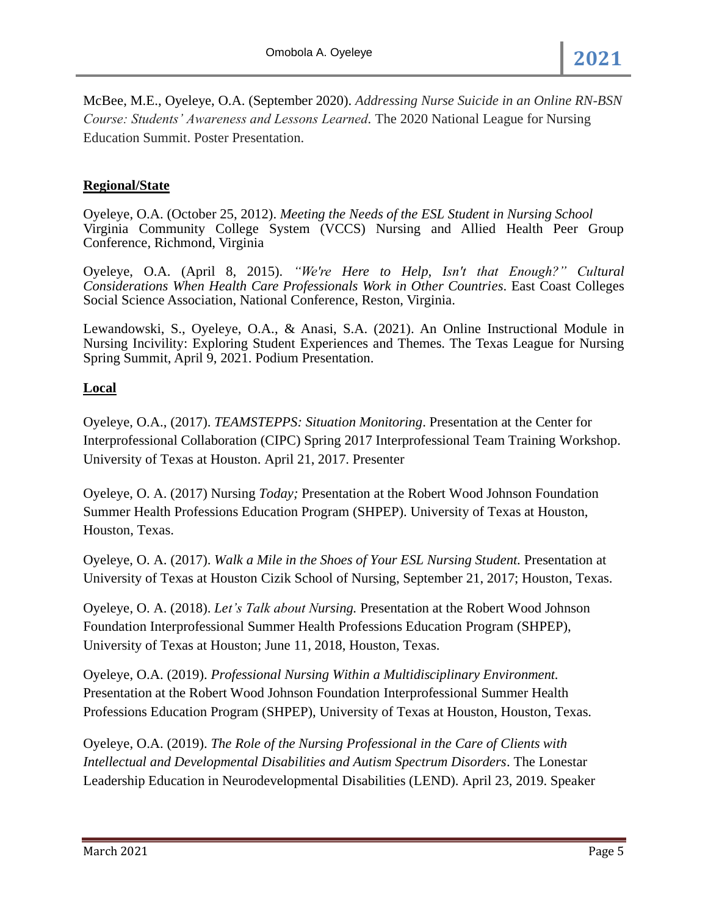McBee, M.E., Oyeleye, O.A. (September 2020). *Addressing Nurse Suicide in an Online RN-BSN Course: Students' Awareness and Lessons Learned.* The 2020 National League for Nursing Education Summit. Poster Presentation.

## **Regional/State**

Oyeleye, O.A. (October 25, 2012). *Meeting the Needs of the ESL Student in Nursing School* Virginia Community College System (VCCS) Nursing and Allied Health Peer Group Conference, Richmond, Virginia

Oyeleye, O.A. (April 8, 2015). *"We're Here to Help, Isn't that Enough?" Cultural Considerations When Health Care Professionals Work in Other Countries*. East Coast Colleges Social Science Association, National Conference, Reston, Virginia.

Lewandowski, S., Oyeleye, O.A., & Anasi, S.A. (2021). An Online Instructional Module in Nursing Incivility: Exploring Student Experiences and Themes. The Texas League for Nursing Spring Summit, April 9, 2021. Podium Presentation.

## **Local**

Oyeleye, O.A., (2017). *TEAMSTEPPS: Situation Monitoring*. Presentation at the Center for Interprofessional Collaboration (CIPC) Spring 2017 Interprofessional Team Training Workshop. University of Texas at Houston. April 21, 2017. Presenter

Oyeleye, O. A. (2017) Nursing *Today;* Presentation at the Robert Wood Johnson Foundation Summer Health Professions Education Program (SHPEP). University of Texas at Houston, Houston, Texas.

Oyeleye, O. A. (2017). *Walk a Mile in the Shoes of Your ESL Nursing Student.* Presentation at University of Texas at Houston Cizik School of Nursing, September 21, 2017; Houston, Texas.

Oyeleye, O. A. (2018). *Let's Talk about Nursing.* Presentation at the Robert Wood Johnson Foundation Interprofessional Summer Health Professions Education Program (SHPEP), University of Texas at Houston; June 11, 2018, Houston, Texas.

Oyeleye, O.A. (2019). *Professional Nursing Within a Multidisciplinary Environment.*  Presentation at the Robert Wood Johnson Foundation Interprofessional Summer Health Professions Education Program (SHPEP), University of Texas at Houston, Houston, Texas.

Oyeleye, O.A. (2019). *The Role of the Nursing Professional in the Care of Clients with Intellectual and Developmental Disabilities and Autism Spectrum Disorders*. The Lonestar Leadership Education in Neurodevelopmental Disabilities (LEND). April 23, 2019. Speaker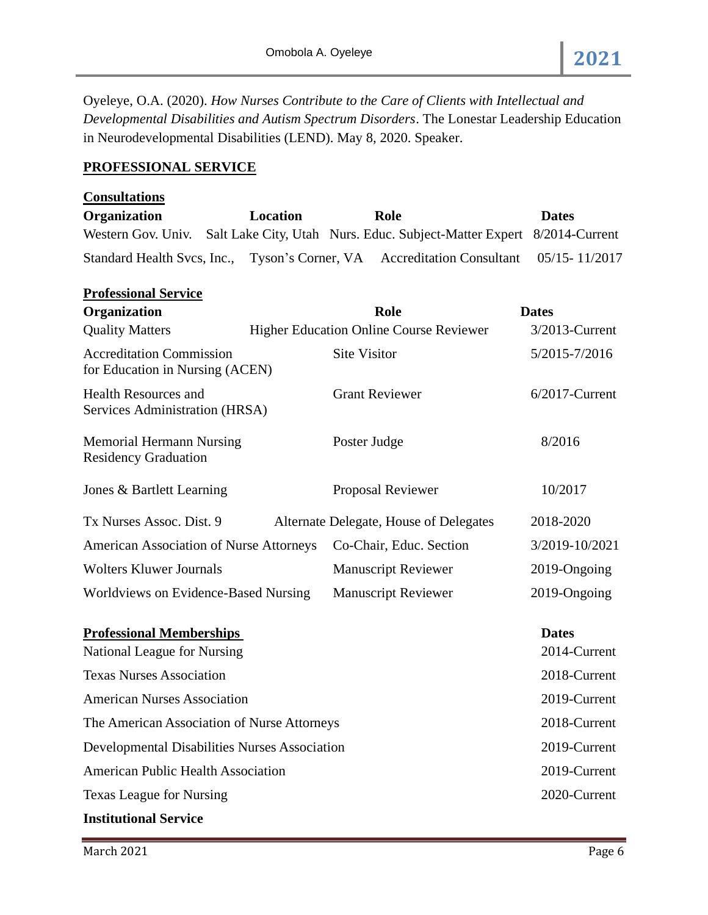Oyeleye, O.A. (2020). *How Nurses Contribute to the Care of Clients with Intellectual and Developmental Disabilities and Autism Spectrum Disorders*. The Lonestar Leadership Education in Neurodevelopmental Disabilities (LEND). May 8, 2020. Speaker.

# **PROFESSIONAL SERVICE**

| <b>Consultations</b>                                               |                 |                                                                         |                   |
|--------------------------------------------------------------------|-----------------|-------------------------------------------------------------------------|-------------------|
| Organization                                                       | <b>Location</b> | Role                                                                    | <b>Dates</b>      |
| Western Gov. Univ.                                                 |                 | Salt Lake City, Utah Nurs. Educ. Subject-Matter Expert                  | 8/2014-Current    |
|                                                                    |                 | Standard Health Svcs, Inc., Tyson's Corner, VA Accreditation Consultant | 05/15-11/2017     |
| <b>Professional Service</b>                                        |                 |                                                                         |                   |
| Organization                                                       |                 | Role                                                                    | <b>Dates</b>      |
| <b>Quality Matters</b>                                             |                 | <b>Higher Education Online Course Reviewer</b>                          | 3/2013-Current    |
| <b>Accreditation Commission</b><br>for Education in Nursing (ACEN) |                 | <b>Site Visitor</b>                                                     | 5/2015-7/2016     |
| <b>Health Resources and</b><br>Services Administration (HRSA)      |                 | <b>Grant Reviewer</b>                                                   | $6/2017$ -Current |
| <b>Memorial Hermann Nursing</b><br><b>Residency Graduation</b>     |                 | Poster Judge                                                            | 8/2016            |
| Jones & Bartlett Learning                                          |                 | Proposal Reviewer                                                       | 10/2017           |
| Tx Nurses Assoc. Dist. 9                                           |                 | Alternate Delegate, House of Delegates                                  | 2018-2020         |
| <b>American Association of Nurse Attorneys</b>                     |                 | Co-Chair, Educ. Section                                                 | 3/2019-10/2021    |
| <b>Wolters Kluwer Journals</b>                                     |                 | <b>Manuscript Reviewer</b>                                              | 2019-Ongoing      |
| Worldviews on Evidence-Based Nursing                               |                 | <b>Manuscript Reviewer</b>                                              | 2019-Ongoing      |
| <b>Professional Memberships</b>                                    |                 |                                                                         | <b>Dates</b>      |
| National League for Nursing                                        |                 |                                                                         | 2014-Current      |
| <b>Texas Nurses Association</b>                                    |                 |                                                                         | 2018-Current      |
| <b>American Nurses Association</b>                                 |                 |                                                                         | 2019-Current      |
| The American Association of Nurse Attorneys                        |                 | 2018-Current                                                            |                   |
| <b>Developmental Disabilities Nurses Association</b>               |                 |                                                                         | 2019-Current      |
| <b>American Public Health Association</b>                          |                 |                                                                         | 2019-Current      |
| <b>Texas League for Nursing</b>                                    |                 |                                                                         | 2020-Current      |
| <b>Institutional Service</b>                                       |                 |                                                                         |                   |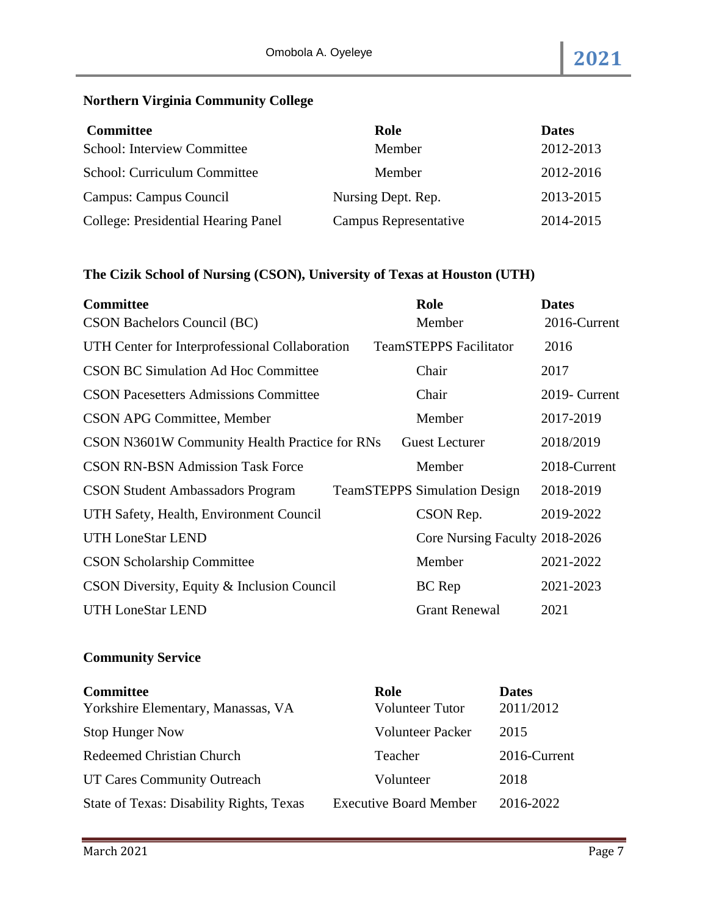# **Northern Virginia Community College**

| <b>Committee</b>                           | Role                  | <b>Dates</b> |
|--------------------------------------------|-----------------------|--------------|
| School: Interview Committee                | Member                | 2012-2013    |
| School: Curriculum Committee               | Member                | 2012-2016    |
| Campus: Campus Council                     | Nursing Dept. Rep.    | 2013-2015    |
| <b>College: Presidential Hearing Panel</b> | Campus Representative | 2014-2015    |

# **The Cizik School of Nursing (CSON), University of Texas at Houston (UTH)**

| <b>Committee</b>                               | Role                                | <b>Dates</b>  |
|------------------------------------------------|-------------------------------------|---------------|
| CSON Bachelors Council (BC)                    | Member                              | 2016-Current  |
| UTH Center for Interprofessional Collaboration | <b>TeamSTEPPS</b> Facilitator       | 2016          |
| <b>CSON BC Simulation Ad Hoc Committee</b>     | Chair                               | 2017          |
| <b>CSON Pacesetters Admissions Committee</b>   | Chair                               | 2019- Current |
| <b>CSON APG Committee, Member</b>              | Member                              | 2017-2019     |
| CSON N3601W Community Health Practice for RNs  | <b>Guest Lecturer</b>               | 2018/2019     |
| <b>CSON RN-BSN Admission Task Force</b>        | Member                              | 2018-Current  |
| <b>CSON Student Ambassadors Program</b>        | <b>TeamSTEPPS Simulation Design</b> | 2018-2019     |
| UTH Safety, Health, Environment Council        | CSON Rep.                           | 2019-2022     |
| <b>UTH LoneStar LEND</b>                       | Core Nursing Faculty 2018-2026      |               |
| <b>CSON Scholarship Committee</b>              | Member                              | 2021-2022     |
| CSON Diversity, Equity & Inclusion Council     | BC Rep                              | 2021-2023     |
| <b>UTH LoneStar LEND</b>                       | <b>Grant Renewal</b>                | 2021          |

# **Community Service**

| <b>Committee</b>                         | Role                          | <b>Dates</b> |
|------------------------------------------|-------------------------------|--------------|
| Yorkshire Elementary, Manassas, VA       | <b>Volunteer Tutor</b>        | 2011/2012    |
| <b>Stop Hunger Now</b>                   | Volunteer Packer              | 2015         |
| Redeemed Christian Church                | Teacher                       | 2016-Current |
| UT Cares Community Outreach              | Volunteer                     | 2018         |
| State of Texas: Disability Rights, Texas | <b>Executive Board Member</b> | 2016-2022    |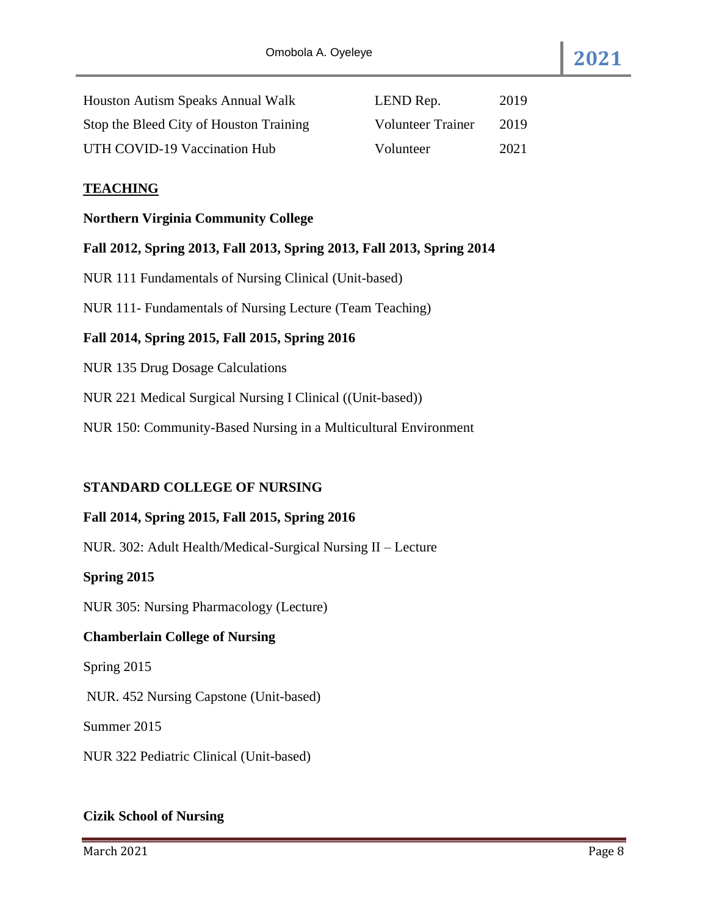| Houston Autism Speaks Annual Walk       | LEND Rep.                | 2019 |
|-----------------------------------------|--------------------------|------|
| Stop the Bleed City of Houston Training | <b>Volunteer Trainer</b> | 2019 |
| UTH COVID-19 Vaccination Hub            | Volunteer                | 2021 |

#### **TEACHING**

#### **Northern Virginia Community College**

### **Fall 2012, Spring 2013, Fall 2013, Spring 2013, Fall 2013, Spring 2014**

NUR 111 Fundamentals of Nursing Clinical (Unit-based)

NUR 111- Fundamentals of Nursing Lecture (Team Teaching)

## **Fall 2014, Spring 2015, Fall 2015, Spring 2016**

NUR 135 Drug Dosage Calculations

NUR 221 Medical Surgical Nursing I Clinical ((Unit-based))

NUR 150: Community-Based Nursing in a Multicultural Environment

#### **STANDARD COLLEGE OF NURSING**

#### **Fall 2014, Spring 2015, Fall 2015, Spring 2016**

NUR. 302: Adult Health/Medical-Surgical Nursing II – Lecture

#### **Spring 2015**

NUR 305: Nursing Pharmacology (Lecture)

## **Chamberlain College of Nursing**

Spring 2015

NUR. 452 Nursing Capstone (Unit-based)

Summer 2015

NUR 322 Pediatric Clinical (Unit-based)

### **Cizik School of Nursing**

March 2021 **Page 8**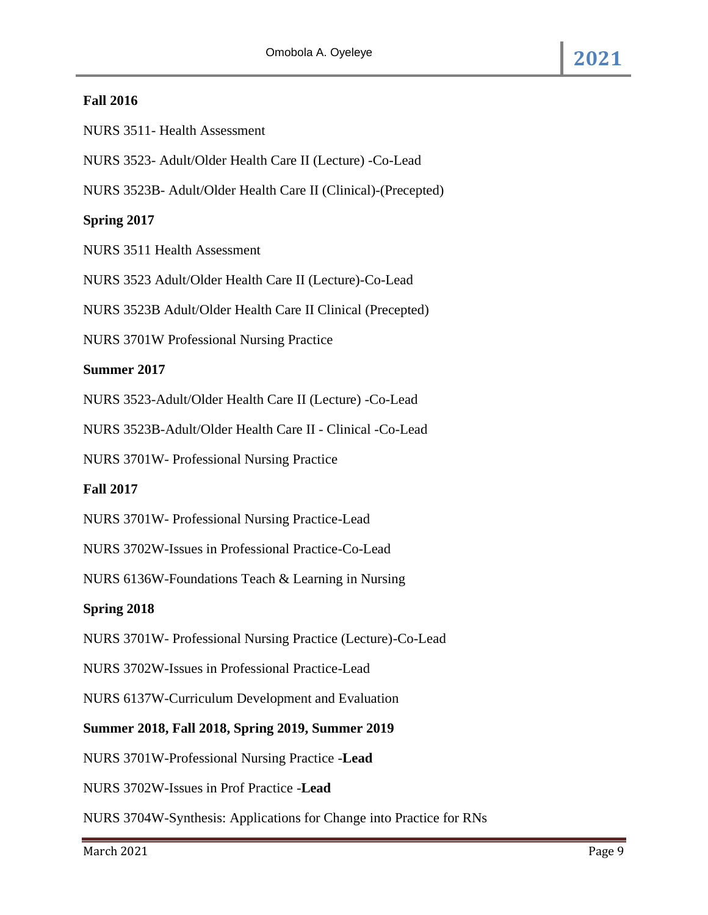## **Fall 2016**

NURS 3511- Health Assessment

NURS 3523- Adult/Older Health Care II (Lecture) -Co-Lead

NURS 3523B- Adult/Older Health Care II (Clinical)-(Precepted)

# **Spring 2017**

NURS 3511 Health Assessment

NURS 3523 Adult/Older Health Care II (Lecture)-Co-Lead

NURS 3523B Adult/Older Health Care II Clinical (Precepted)

NURS 3701W Professional Nursing Practice

## **Summer 2017**

NURS 3523-Adult/Older Health Care II (Lecture) -Co-Lead

NURS 3523B-Adult/Older Health Care II - Clinical -Co-Lead

NURS 3701W- Professional Nursing Practice

## **Fall 2017**

NURS 3701W- Professional Nursing Practice-Lead

NURS 3702W-Issues in Professional Practice-Co-Lead

NURS 6136W-Foundations Teach & Learning in Nursing

# **Spring 2018**

NURS 3701W- Professional Nursing Practice (Lecture)-Co-Lead

NURS 3702W-Issues in Professional Practice-Lead

NURS 6137W-Curriculum Development and Evaluation

## **Summer 2018, Fall 2018, Spring 2019, Summer 2019**

NURS 3701W-Professional Nursing Practice -**Lead**

NURS 3702W-Issues in Prof Practice -**Lead**

NURS 3704W-Synthesis: Applications for Change into Practice for RNs